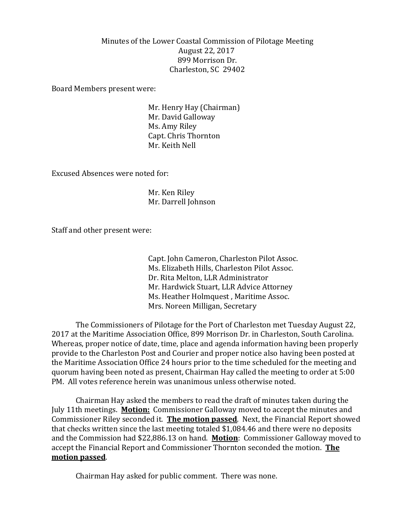## Minutes of the Lower Coastal Commission of Pilotage Meeting August 22, 2017 899 Morrison Dr. Charleston, SC 29402

Board Members present were:

Mr. Henry Hay (Chairman) Mr. David Galloway Ms. Amy Riley Capt. Chris Thornton Mr. Keith Nell

Excused Absences were noted for:

Mr. Ken Riley Mr. Darrell Johnson

Staff and other present were:

Capt. John Cameron, Charleston Pilot Assoc. Ms. Elizabeth Hills, Charleston Pilot Assoc. Dr. Rita Melton, LLR Administrator Mr. Hardwick Stuart, LLR Advice Attorney Ms. Heather Holmquest , Maritime Assoc. Mrs. Noreen Milligan, Secretary

The Commissioners of Pilotage for the Port of Charleston met Tuesday August 22, 2017 at the Maritime Association Office, 899 Morrison Dr. in Charleston, South Carolina. Whereas, proper notice of date, time, place and agenda information having been properly provide to the Charleston Post and Courier and proper notice also having been posted at the Maritime Association Office 24 hours prior to the time scheduled for the meeting and quorum having been noted as present, Chairman Hay called the meeting to order at 5:00 PM. All votes reference herein was unanimous unless otherwise noted.

Chairman Hay asked the members to read the draft of minutes taken during the July 11th meetings. **Motion:** Commissioner Galloway moved to accept the minutes and Commissioner Riley seconded it. **The motion passed**. Next, the Financial Report showed that checks written since the last meeting totaled \$1,084.46 and there were no deposits and the Commission had \$22,886.13 on hand. **Motion**: Commissioner Galloway moved to accept the Financial Report and Commissioner Thornton seconded the motion. **The motion passed**.

Chairman Hay asked for public comment. There was none.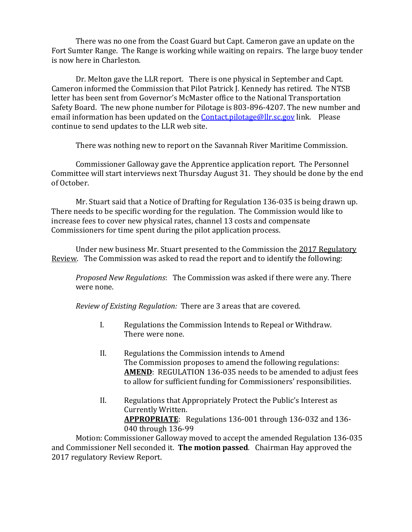There was no one from the Coast Guard but Capt. Cameron gave an update on the Fort Sumter Range. The Range is working while waiting on repairs. The large buoy tender is now here in Charleston.

Dr. Melton gave the LLR report. There is one physical in September and Capt. Cameron informed the Commission that Pilot Patrick J. Kennedy has retired. The NTSB letter has been sent from Governor's McMaster office to the National Transportation Safety Board. The new phone number for Pilotage is 803-896-4207. The new number and email information has been updated on the **Contact pilotage@llr.sc.gov** link. Please continue to send updates to the LLR web site.

There was nothing new to report on the Savannah River Maritime Commission.

Commissioner Galloway gave the Apprentice application report. The Personnel Committee will start interviews next Thursday August 31. They should be done by the end of October.

Mr. Stuart said that a Notice of Drafting for Regulation 136-035 is being drawn up. There needs to be specific wording for the regulation. The Commission would like to increase fees to cover new physical rates, channel 13 costs and compensate Commissioners for time spent during the pilot application process.

Under new business Mr. Stuart presented to the Commission the 2017 Regulatory Review. The Commission was asked to read the report and to identify the following:

*Proposed New Regulations*: The Commission was asked if there were any. There were none.

*Review of Existing Regulation:* There are 3 areas that are covered.

- I. Regulations the Commission Intends to Repeal or Withdraw. There were none.
- II. Regulations the Commission intends to Amend The Commission proposes to amend the following regulations: **AMEND**: REGULATION 136-035 needs to be amended to adjust fees to allow for sufficient funding for Commissioners' responsibilities.
- II. Regulations that Appropriately Protect the Public's Interest as Currently Written. **APPROPRIATE**: Regulations 136-001 through 136-032 and 136- 040 through 136-99

Motion: Commissioner Galloway moved to accept the amended Regulation 136-035 and Commissioner Nell seconded it. **The motion passed**. Chairman Hay approved the 2017 regulatory Review Report.